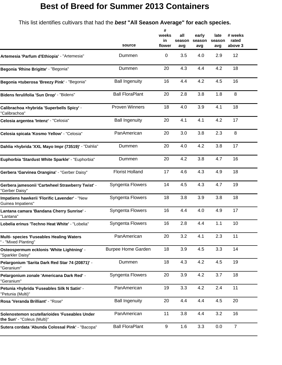## **Best of Breed for Summer 2013 Containers**

This list identifies cultivars that had the *best* **"All Season Average" for each species.**

|                                                                              | source                    | #<br>weeks<br>in<br>flower | all<br>season<br>avg | early<br>season<br>avg | late<br>season<br>avg | # weeks<br>rated<br>above 3 |
|------------------------------------------------------------------------------|---------------------------|----------------------------|----------------------|------------------------|-----------------------|-----------------------------|
| Artemesia 'Parfum d'Ethiopia' - "Artemesia"                                  | Dummen                    | 0                          | 3.5                  | 4.0                    | 2.9                   | 12                          |
| Begonia 'Rhine Brigitte' - "Begonia"                                         | Dummen                    | 20                         | 4.3                  | 4.4                    | 4.2                   | 18                          |
| Begonia xtuberosa 'Breezy Pink' - "Begonia"                                  | <b>Ball Ingenuity</b>     | 16                         | 4.4                  | 4.2                    | 4.5                   | 16                          |
| Bidens ferulifolia 'Sun Drop' - "Bidens"                                     | <b>Ball FloraPlant</b>    | 20                         | 2.8                  | 3.8                    | 1.8                   | 8                           |
| Calibrachoa xhybrida 'Superbells Spicy' -<br>"Calibrachoa"                   | <b>Proven Winners</b>     | 18                         | 4.0                  | 3.9                    | 4.1                   | 18                          |
| Celosia argentea 'Intenz' - "Celosia"                                        | <b>Ball Ingenuity</b>     | 20                         | 4.1                  | 4.1                    | 4.2                   | 17                          |
| Celosia spicata 'Kosmo Yellow' - "Celosia"                                   | PanAmerican               | 20                         | 3.0                  | 3.8                    | 2.3                   | 8                           |
| Dahlia xhybrida 'XXL Mayo Impr (73519)' - "Dahlia"                           | Dummen                    | 20                         | 4.0                  | 4.2                    | 3.8                   | 17                          |
| Euphorbia 'Stardust White Sparkle' - "Euphorbia"                             | Dummen                    | 20                         | 4.2                  | 3.8                    | 4.7                   | 16                          |
| Gerbera 'Garvinea Orangina' - "Gerber Daisy"                                 | <b>Florist Holland</b>    | 17                         | 4.6                  | 4.3                    | 4.9                   | 18                          |
| Gerbera jamesonii 'Cartwheel Strawberry Twist' -<br>"Gerber Daisy"           | Syngenta Flowers          | 14                         | 4.5                  | 4.3                    | 4.7                   | 19                          |
| Impatiens hawkerii 'Florific Lavender' - "New<br>Guinea Impatiens"           | Syngenta Flowers          | 18                         | 3.8                  | 3.9                    | 3.8                   | 18                          |
| Lantana camara 'Bandana Cherry Sunrise' -<br>"Lantana"                       | Syngenta Flowers          | 16                         | 4.4                  | 4.0                    | 4.9                   | 17                          |
| Lobelia erinus 'Techno Heat White' - "Lobelia"                               | Syngenta Flowers          | 16                         | 2.8                  | 4.4                    | 1.1                   | 10                          |
| Multi- species 'Fuseables Healing Waters<br>' - "Mixed Planting"             | PanAmerican               | 20                         | 3.2                  | 4.1                    | 2.3                   | 11                          |
| Osteospermum ecklonis 'White Lightning' -<br>"Sparkler Daisy"                | <b>Burpee Home Garden</b> | 18                         | 3.9                  | 4.5                    | 3.3                   | 14                          |
| Pelargonium 'Sarita Dark Red Star 74 (20871)' -<br>"Geranium"                | Dummen                    | 18                         | 4.3                  | 4.2                    | 4.5                   | 19                          |
| Pelargonium zonale 'Americana Dark Red' -<br>'Geranium"                      | <b>Syngenta Flowers</b>   | 20                         | 3.9                  | 4.2                    | 3.7                   | 18                          |
| Petunia xhybrida 'Fuseables Silk N Satin' -<br>"Petunia (Multi)"             | PanAmerican               | 19                         | 3.3                  | 4.2                    | 2.4                   | 11                          |
| Rosa 'Veranda Brilliant' - "Rose"                                            | <b>Ball Ingenuity</b>     | 20                         | 4.4                  | 4.4                    | 4.5                   | 20                          |
| Solenostemon scutellarioides 'Fuseables Under<br>the Sun' - "Coleus (Multi)" | PanAmerican               | 11                         | 3.8                  | 4.4                    | 3.2                   | 16                          |
| Sutera cordata 'Abunda Colossal Pink' - "Bacopa"                             | <b>Ball FloraPlant</b>    | 9                          | 1.6                  | 3.3                    | 0.0                   | $\overline{7}$              |